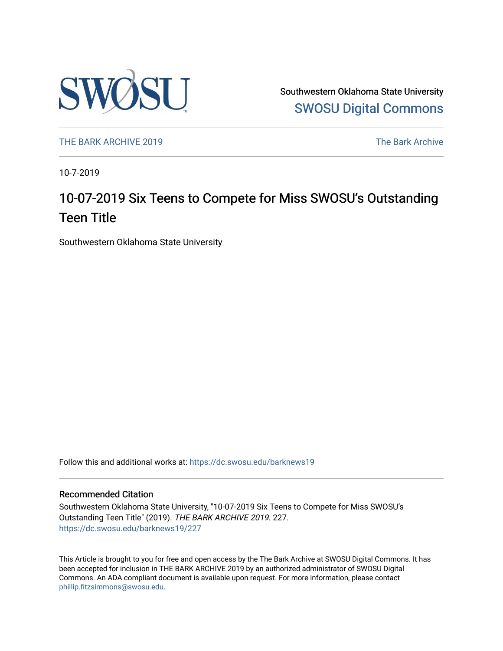

Southwestern Oklahoma State University [SWOSU Digital Commons](https://dc.swosu.edu/) 

[THE BARK ARCHIVE 2019](https://dc.swosu.edu/barknews19) The Bark Archive

10-7-2019

### 10-07-2019 Six Teens to Compete for Miss SWOSU's Outstanding Teen Title

Southwestern Oklahoma State University

Follow this and additional works at: [https://dc.swosu.edu/barknews19](https://dc.swosu.edu/barknews19?utm_source=dc.swosu.edu%2Fbarknews19%2F227&utm_medium=PDF&utm_campaign=PDFCoverPages)

#### Recommended Citation

Southwestern Oklahoma State University, "10-07-2019 Six Teens to Compete for Miss SWOSU's Outstanding Teen Title" (2019). THE BARK ARCHIVE 2019. 227. [https://dc.swosu.edu/barknews19/227](https://dc.swosu.edu/barknews19/227?utm_source=dc.swosu.edu%2Fbarknews19%2F227&utm_medium=PDF&utm_campaign=PDFCoverPages)

This Article is brought to you for free and open access by the The Bark Archive at SWOSU Digital Commons. It has been accepted for inclusion in THE BARK ARCHIVE 2019 by an authorized administrator of SWOSU Digital Commons. An ADA compliant document is available upon request. For more information, please contact [phillip.fitzsimmons@swosu.edu](mailto:phillip.fitzsimmons@swosu.edu).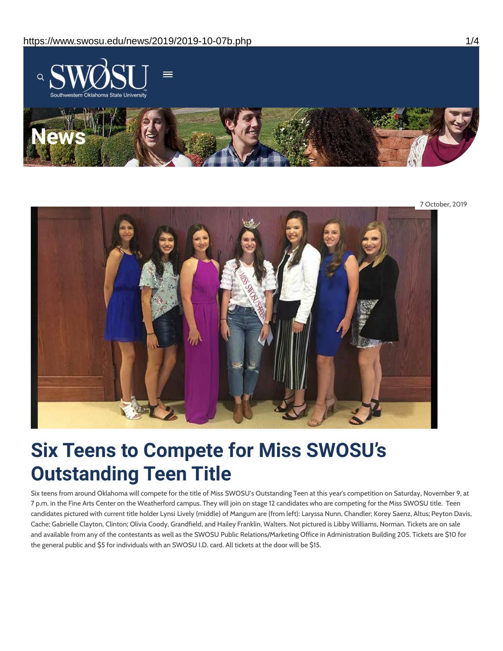

7 October, 2019

# **Six Teens to Compete for Miss SWOSU's Outstanding Teen Title**

Six teens from around Oklahoma will compete for the title of Miss SWOSU's Outstanding Teen at this year's competition on Saturday, November 9, at 7 p.m. in the Fine Arts Center on the Weatherford campus. They will join on stage 12 candidates who are competing for the Miss SWOSU title. Teen candidates pictured with current title holder Lynsi Lively (middle) of Mangum are (from left): Laryssa Nunn, Chandler; Korey Saenz, Altus; Peyton Davis, Cache; Gabrielle Clayton, Clinton; Olivia Coody, Grandfield, and Hailey Franklin, Walters. Not pictured is Libby Williams, Norman. Tickets are on sale and available from any of the contestants as well as the SWOSU Public Relations/Marketing Office in Administration Building 205. Tickets are \$10 for the general public and \$5 for individuals with an SWOSU I.D. card. All tickets at the door will be \$15.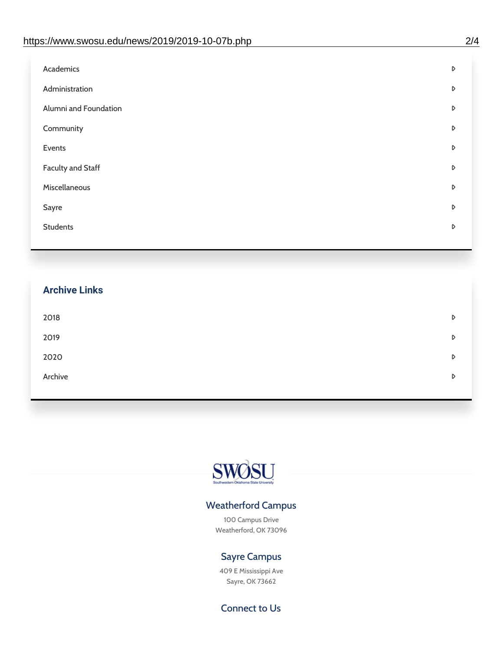| D |
|---|
| D |
| D |
| D |
| D |
| D |
| D |
| D |
| D |
|   |

## **Archive Links**  $2018$  $2019$ [2020](https://www.swosu.edu/news/2020/index.php)  $\bullet$ [Archive](https://dc.swosu.edu/bark/) **Archive Archive Archive Archive Archive** Archive Archive Archive Archive Archive Archive Archive Archive



### Weatherford Campus

100 Campus Drive Weatherford, OK 73096

### Sayre Campus

409 E Mississippi Ave Sayre, OK 73662

Connect to Us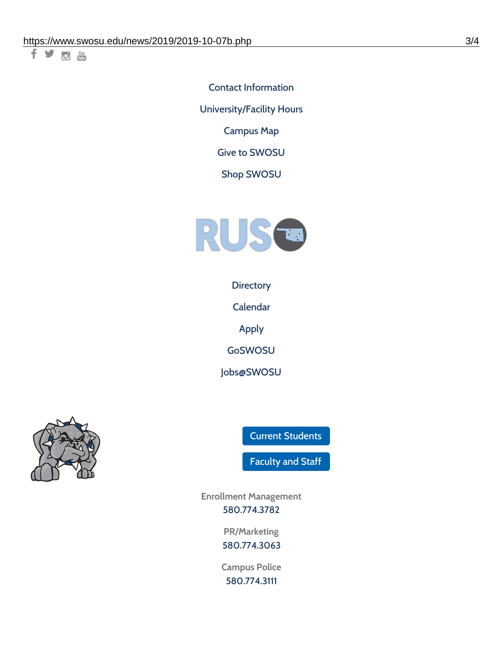千岁回调

Contact [Information](https://www.swosu.edu/about/contact.php) [University/Facility](https://www.swosu.edu/about/operating-hours.php) Hours [Campus](https://map.concept3d.com/?id=768#!ct/10964,10214,10213,10212,10205,10204,10203,10202,10136,10129,10128,0,31226,10130,10201,10641,0) Map

Give to [SWOSU](https://standingfirmly.com/donate)

Shop [SWOSU](https://shopswosu.merchorders.com/)



**[Directory](https://www.swosu.edu/directory/index.php)** 

[Calendar](https://eventpublisher.dudesolutions.com/swosu/)

[Apply](https://www.swosu.edu/admissions/apply-to-swosu.php)

[GoSWOSU](https://qlsso.quicklaunchsso.com/home/1267)

[Jobs@SWOSU](https://swosu.csod.com/ux/ats/careersite/1/home?c=swosu)



Current [Students](https://bulldog.swosu.edu/index.php)

[Faculty](https://bulldog.swosu.edu/faculty-staff/index.php) and Staff

**Enrollment Management** [580.774.3782](tel:5807743782)

> **PR/Marketing** [580.774.3063](tel:5807743063)

**Campus Police** [580.774.3111](tel:5807743111)